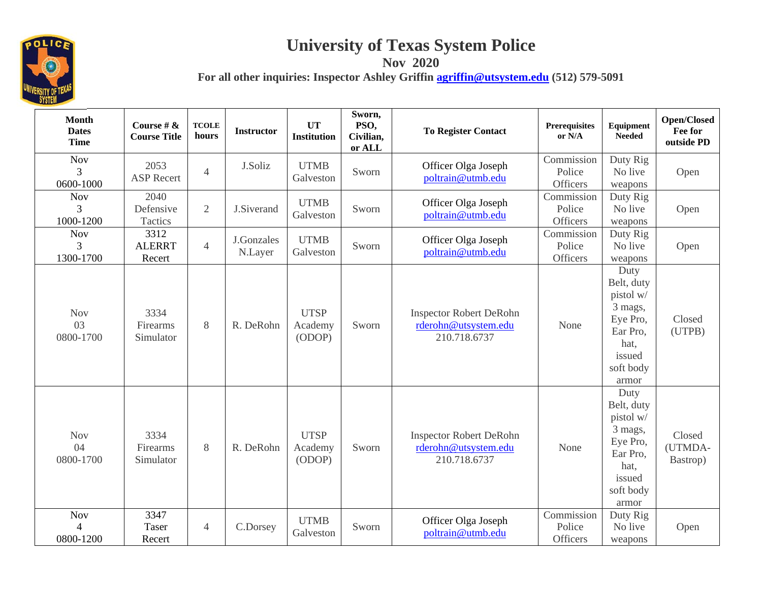

## **University of Texas System Police Nov 2020**

**For all other inquiries: Inspector Ashley Griffin agriffin@utsystem.edu (512) 579-5091** 

**Month Dates Time Course # & Course Title TCOLE hours Instructor UT Institution Sworn, PSO, Civilian, or ALL**  To Register Contact **Prerequisites** *Prerequisites Presequisites Popen/Closed* **<b>PD** *Popening Popening Popening Popening Popening Popening Popening Popening Popening Popening Popening Popenin* Nov 3 0600-1000 2053 ASP Recertt J.Soliz UTMB Sworn Officer Olga Joseph Commission Duty Rig UTMB Galveston Sworn poltrain@utmb.edu Commission Duty Rig No live Open Nov 3 1000-1200 2040 Defensive Tactics 2 J.Siverand UTMB Sworn Officer Olga Joseph Police Duty Rig No live Galveston  $\left[\begin{array}{cc} \text{UTMB} & \text{Sworn} \\ \text{Galveston} & \text{Boltrain@utmb.edu} \end{array}\right]$   $\left[\begin{array}{cc} \text{Commission} \\ \text{Police} \\ \text{Officers} \end{array}\right]$   $\left[\begin{array}{cc} \text{Duty Rig} \\ \text{No live} \\ \text{weapons} \end{array}\right]$  Open Nov 3 1300-1700 3312 ALERRT Recert4 J.Gonzales UTMB Sworn Officer Olga Joseph Police Duty Rig No live Galveston Commission Duty Rig No live General Commission Police No live Open Nov 030800-17003334 Firearms Simulator8 R. DeRohn UTSP Academy (ODOP) Sworn Inspector Robert DeRohn rderohn@utsystem.edu 210.718.6737None Duty Belt, duty pistol w/ 3 mags, Eye Pro, Ear Pro, hat, issued soft body armor Closed (UTPB) Nov 04 0800-17003334 Firearms Simulator8 R. DeRohn **UTSP** Academy (ODOP) Sworn Inspector Robert DeRohn rderohn@utsystem.edu 210.718.6737None Duty Belt, duty pistol w/ 3 mags, Eye Pro, Ear Pro, hat, issued soft body armor Closed (UTMDA-Bastrop) Nov 4 0800-1200 3347 Taser Recert 4 C.Dorsey UTMB Sworn Officer Olga Joseph Police Duty Rig Commission Duty Rig Galveston Sworn poltrain@utmb.edu Cofficers No live Open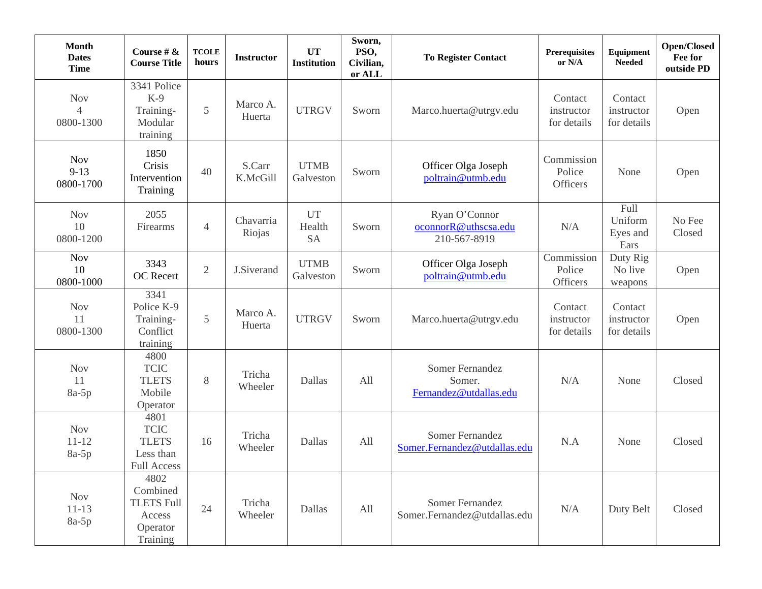| <b>Month</b><br><b>Dates</b><br><b>Time</b> | Course # $\&$<br><b>Course Title</b>                                    | <b>TCOLE</b><br>hours | <b>Instructor</b>   | <b>UT</b><br><b>Institution</b>  | Sworn,<br>PSO,<br>Civilian,<br>or ALL | <b>To Register Contact</b>                             | <b>Prerequisites</b><br>or N/A       | <b>Equipment</b><br><b>Needed</b>          | <b>Open/Closed</b><br>Fee for<br>outside PD |
|---------------------------------------------|-------------------------------------------------------------------------|-----------------------|---------------------|----------------------------------|---------------------------------------|--------------------------------------------------------|--------------------------------------|--------------------------------------------|---------------------------------------------|
| <b>Nov</b><br>4<br>0800-1300                | 3341 Police<br>$K-9$<br>Training-<br>Modular<br>training                | $\mathfrak{S}$        | Marco A.<br>Huerta  | <b>UTRGV</b>                     | Sworn                                 | Marco.huerta@utrgv.edu                                 | Contact<br>instructor<br>for details | Contact<br>instructor<br>for details       | Open                                        |
| <b>Nov</b><br>$9 - 13$<br>0800-1700         | 1850<br>Crisis<br>Intervention<br>Training                              | 40                    | S.Carr<br>K.McGill  | <b>UTMB</b><br>Galveston         | Sworn                                 | Officer Olga Joseph<br>poltrain@utmb.edu               | Commission<br>Police<br>Officers     | None                                       | Open                                        |
| <b>Nov</b><br>10<br>0800-1200               | 2055<br>Firearms                                                        | $\overline{4}$        | Chavarria<br>Riojas | <b>UT</b><br>Health<br><b>SA</b> | Sworn                                 | Ryan O'Connor<br>oconnorR@uthscsa.edu<br>210-567-8919  | N/A                                  | <b>Full</b><br>Uniform<br>Eyes and<br>Ears | No Fee<br>Closed                            |
| <b>Nov</b><br>10<br>0800-1000               | 3343<br>OC Recert                                                       | $\mathfrak{2}$        | J.Siverand          | <b>UTMB</b><br>Galveston         | Sworn                                 | Officer Olga Joseph<br>poltrain@utmb.edu               | Commission<br>Police<br>Officers     | Duty Rig<br>No live<br>weapons             | Open                                        |
| <b>Nov</b><br>11<br>0800-1300               | 3341<br>Police K-9<br>Training-<br>Conflict<br>training                 | 5                     | Marco A.<br>Huerta  | <b>UTRGV</b>                     | Sworn                                 | Marco.huerta@utrgv.edu                                 | Contact<br>instructor<br>for details | Contact<br>instructor<br>for details       | Open                                        |
| <b>Nov</b><br>11<br>$8a-5p$                 | 4800<br><b>TCIC</b><br><b>TLETS</b><br>Mobile<br>Operator               | 8                     | Tricha<br>Wheeler   | Dallas                           | All                                   | Somer Fernandez<br>Somer.<br>Fernandez@utdallas.edu    | N/A                                  | None                                       | Closed                                      |
| <b>Nov</b><br>$11 - 12$<br>$8a-5p$          | 4801<br><b>TCIC</b><br><b>TLETS</b><br>Less than<br><b>Full Access</b>  | 16                    | Tricha<br>Wheeler   | Dallas                           | All                                   | Somer Fernandez<br>Somer.Fernandez@utdallas.edu        | N.A                                  | None                                       | Closed                                      |
| <b>Nov</b><br>$11 - 13$<br>$8a-5p$          | 4802<br>Combined<br><b>TLETS Full</b><br>Access<br>Operator<br>Training | 24                    | Tricha<br>Wheeler   | Dallas                           | All                                   | <b>Somer Fernandez</b><br>Somer.Fernandez@utdallas.edu | N/A                                  | Duty Belt                                  | Closed                                      |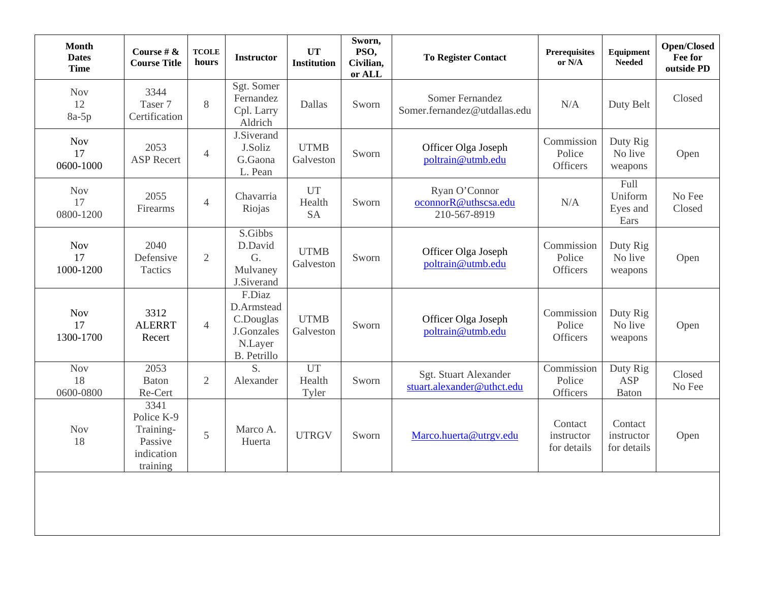| <b>Month</b><br><b>Dates</b><br><b>Time</b> | Course # $\&$<br><b>Course Title</b>                                 | <b>TCOLE</b><br>hours | <b>Instructor</b>                                                         | <b>UT</b><br><b>Institution</b>  | Sworn,<br>PSO,<br>Civilian,<br>or ALL | <b>To Register Contact</b>                            | <b>Prerequisites</b><br>or N/A       | Equipment<br><b>Needed</b>             | <b>Open/Closed</b><br>Fee for<br>outside PD |
|---------------------------------------------|----------------------------------------------------------------------|-----------------------|---------------------------------------------------------------------------|----------------------------------|---------------------------------------|-------------------------------------------------------|--------------------------------------|----------------------------------------|---------------------------------------------|
| <b>Nov</b><br>12<br>$8a-5p$                 | 3344<br>Taser 7<br>Certification                                     | 8                     | Sgt. Somer<br>Fernandez<br>Cpl. Larry<br>Aldrich                          | Dallas                           | Sworn                                 | Somer Fernandez<br>Somer.fernandez@utdallas.edu       | N/A                                  | Duty Belt                              | Closed                                      |
| <b>Nov</b><br>17<br>0600-1000               | 2053<br><b>ASP Recert</b>                                            | $\overline{4}$        | J.Siverand<br>J.Soliz<br>G.Gaona<br>L. Pean                               | <b>UTMB</b><br>Galveston         | Sworn                                 | Officer Olga Joseph<br>poltrain@utmb.edu              | Commission<br>Police<br>Officers     | Duty Rig<br>No live<br>weapons         | Open                                        |
| <b>Nov</b><br>17<br>0800-1200               | 2055<br>Firearms                                                     | $\overline{4}$        | Chavarria<br>Riojas                                                       | <b>UT</b><br>Health<br><b>SA</b> | Sworn                                 | Ryan O'Connor<br>oconnorR@uthscsa.edu<br>210-567-8919 | N/A                                  | Full<br>Uniform<br>Eyes and<br>Ears    | No Fee<br>Closed                            |
| <b>Nov</b><br>17<br>1000-1200               | 2040<br>Defensive<br>Tactics                                         | $\mathfrak{2}$        | S.Gibbs<br>D.David<br>G.<br>Mulvaney<br>J.Siverand                        | <b>UTMB</b><br>Galveston         | Sworn                                 | Officer Olga Joseph<br>poltrain@utmb.edu              | Commission<br>Police<br>Officers     | Duty Rig<br>No live<br>weapons         | Open                                        |
| <b>Nov</b><br>17<br>1300-1700               | 3312<br><b>ALERRT</b><br>Recert                                      | $\overline{4}$        | F.Diaz<br>D.Armstead<br>C.Douglas<br>J.Gonzales<br>N.Layer<br>B. Petrillo | <b>UTMB</b><br>Galveston         | Sworn                                 | Officer Olga Joseph<br>poltrain@utmb.edu              | Commission<br>Police<br>Officers     | Duty Rig<br>No live<br>weapons         | Open                                        |
| <b>Nov</b><br>18<br>0600-0800               | 2053<br><b>Baton</b><br>Re-Cert                                      | $\overline{2}$        | S.<br>Alexander                                                           | UT<br>Health<br>Tyler            | Sworn                                 | Sgt. Stuart Alexander<br>stuart.alexander@uthct.edu   | Commission<br>Police<br>Officers     | Duty Rig<br><b>ASP</b><br><b>Baton</b> | Closed<br>No Fee                            |
| <b>Nov</b><br>18                            | 3341<br>Police K-9<br>Training-<br>Passive<br>indication<br>training | 5                     | Marco A.<br>Huerta                                                        | <b>UTRGV</b>                     | Sworn                                 | Marco.huerta@utrgv.edu                                | Contact<br>instructor<br>for details | Contact<br>instructor<br>for details   | Open                                        |
|                                             |                                                                      |                       |                                                                           |                                  |                                       |                                                       |                                      |                                        |                                             |